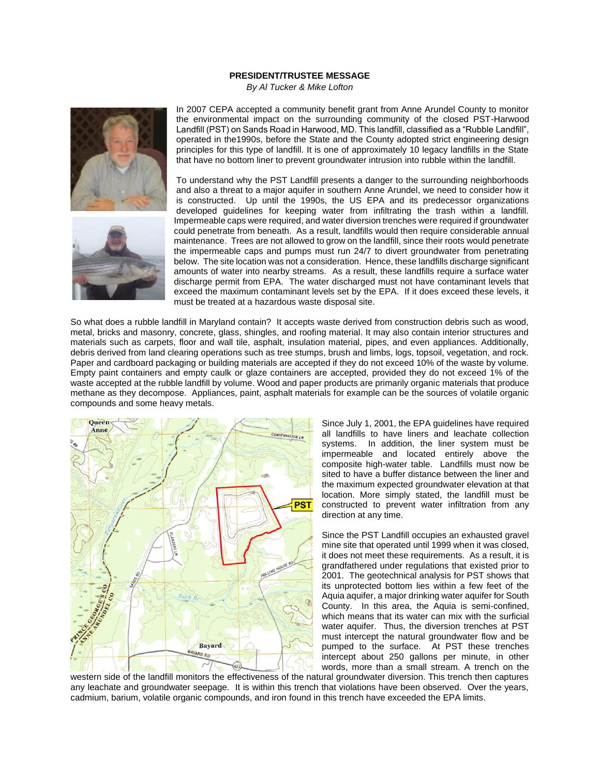## **PRESIDENT/TRUSTEE MESSAGE**

*By Al Tucker & Mike Lofton*





In 2007 CEPA accepted a community benefit grant from Anne Arundel County to monitor the environmental impact on the surrounding community of the closed PST-Harwood Landfill (PST) on Sands Road in Harwood, MD. This landfill, classified as a "Rubble Landfill", operated in the1990s, before the State and the County adopted strict engineering design principles for this type of landfill. It is one of approximately 10 legacy landfills in the State that have no bottom liner to prevent groundwater intrusion into rubble within the landfill.

To understand why the PST Landfill presents a danger to the surrounding neighborhoods and also a threat to a major aquifer in southern Anne Arundel, we need to consider how it is constructed. Up until the 1990s, the US EPA and its predecessor organizations developed guidelines for keeping water from infiltrating the trash within a landfill. Impermeable caps were required, and water diversion trenches were required if groundwater could penetrate from beneath. As a result, landfills would then require considerable annual maintenance. Trees are not allowed to grow on the landfill, since their roots would penetrate the impermeable caps and pumps must run 24/7 to divert groundwater from penetrating below. The site location was not a consideration. Hence, these landfills discharge significant amounts of water into nearby streams. As a result, these landfills require a surface water discharge permit from EPA. The water discharged must not have contaminant levels that exceed the maximum contaminant levels set by the EPA. If it does exceed these levels, it must be treated at a hazardous waste disposal site.

So what does a rubble landfill in Maryland contain? It accepts waste derived from construction debris such as wood, metal, bricks and masonry, concrete, glass, shingles, and roofing material. It may also contain interior structures and materials such as carpets, floor and wall tile, asphalt, insulation material, pipes, and even appliances. Additionally, debris derived from land clearing operations such as tree stumps, brush and limbs, logs, topsoil, vegetation, and rock. Paper and cardboard packaging or building materials are accepted if they do not exceed 10% of the waste by volume. Empty paint containers and empty caulk or glaze containers are accepted, provided they do not exceed 1% of the waste accepted at the rubble landfill by volume. Wood and paper products are primarily organic materials that produce methane as they decompose. Appliances, paint, asphalt materials for example can be the sources of volatile organic compounds and some heavy metals.



Since July 1, 2001, the EPA guidelines have required all landfills to have liners and leachate collection systems. In addition, the liner system must be impermeable and located entirely above the composite high-water table. Landfills must now be sited to have a buffer distance between the liner and the maximum expected groundwater elevation at that location. More simply stated, the landfill must be constructed to prevent water infiltration from any direction at any time.

Since the PST Landfill occupies an exhausted gravel mine site that operated until 1999 when it was closed, it does not meet these requirements. As a result, it is grandfathered under regulations that existed prior to 2001. The geotechnical analysis for PST shows that its unprotected bottom lies within a few feet of the Aquia aquifer, a major drinking water aquifer for South County. In this area, the Aquia is semi-confined, which means that its water can mix with the surficial water aquifer. Thus, the diversion trenches at PST must intercept the natural groundwater flow and be pumped to the surface. At PST these trenches intercept about 250 gallons per minute, in other words, more than a small stream. A trench on the

western side of the landfill monitors the effectiveness of the natural groundwater diversion. This trench then captures any leachate and groundwater seepage. It is within this trench that violations have been observed. Over the years, cadmium, barium, volatile organic compounds, and iron found in this trench have exceeded the EPA limits.